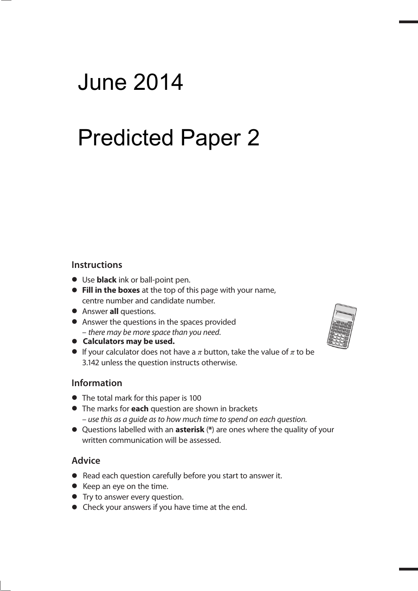## **Edexcel GCSE** June 2014 **Mathematics A Predicted Paper 2**

#### **Instructions**

- **t** Use **black** ink or ball-point pen.
- **Fill in the boxes** at the top of this page with your name, centre number and candidate number.
- **•** Answer **all** questions.
- **•** Answer the questions in the spaces provided – there may be more space than you need.
- $\bullet$  Calculators may be used.
- **the Calculators in ay be used.**<br> **•** If your calculator does not have a  $\pi$  button, take the value of  $\pi$  to be 3.142 unless the question instructs otherwise.

#### **Information**

- **•** The total mark for this paper is 100
- **t** The marks for **each** question are shown in brackets – use this as a guide as to how much time to spend on each question.
- **t** Questions labelled with an **asterisk** (**\***) are ones where the quality of your written communication will be assessed.

#### **Advice**

- **t** Read each question carefully before you start to answer it.
- **•** Keep an eye on the time.
- **•** Try to answer every question.
- **•** Check your answers if you have time at the end.

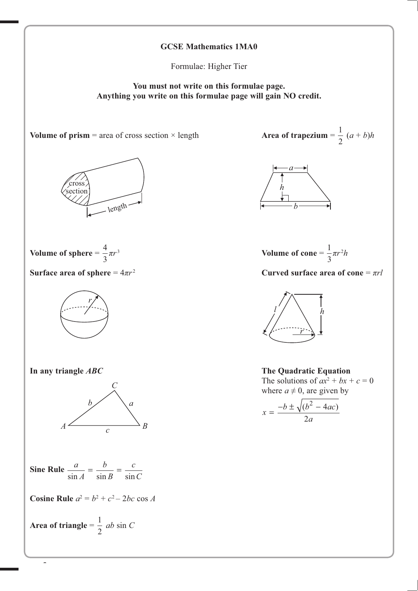

Formulae: Higher Tier

**You must not write on this formulae page. Anything you write on this formulae page will gain NO credit.**



1 2  $(a + b)h$ 



Volume of cone = 
$$
\frac{1}{3}\pi r^2 h
$$

 $T^2$  **Curved surface area of cone** =  $\pi r l$ 



where  $a \neq 0$ , are given by

$$
x = \frac{-b \pm \sqrt{(b^2 - 4ac)}}{2a}
$$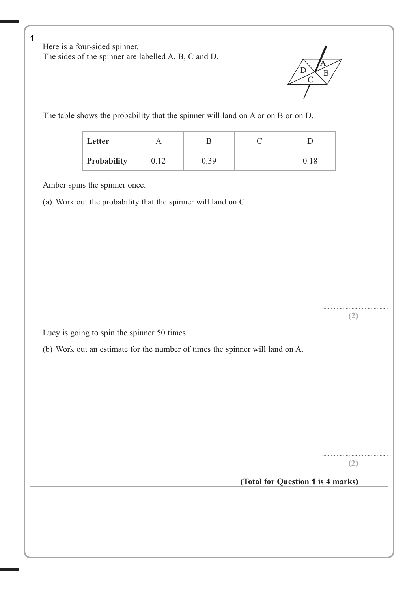**2** Here is a four-sided spinner. The sides of the spinner are labelled A, B, C and D.



The table shows the probability that the spinner will land on A or on B or on D.

| Letter      |      |      |          |
|-------------|------|------|----------|
| Probability | 0.12 | 0.39 | $0.18\,$ |

Amber spins the spinner once.

1

(a) Work out the probability that the spinner will land on C.

Lucy is going to spin the spinner 50 times.

(b) Work out an estimate for the number of times the spinner will land on A.

............................................. **(2)**

............................................. **(2)**

(Total for Question 1 is 4 marks)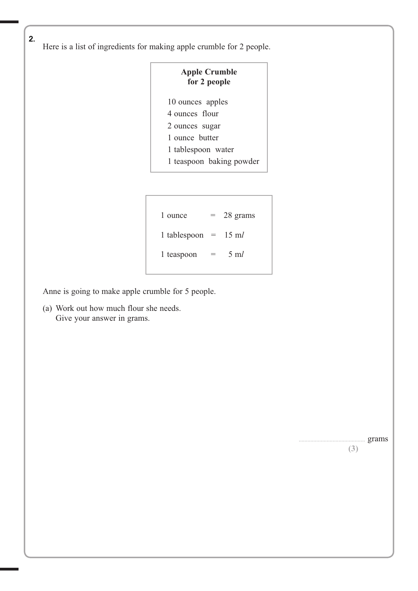**2** Here is a list of ingredients for making apple crumble for 2 people.  $2.$ 

| <b>Apple Crumble</b><br>for 2 people |  |  |  |
|--------------------------------------|--|--|--|
| 10 ounces apples                     |  |  |  |
| 4 ounces flour                       |  |  |  |
| 2 ounces sugar                       |  |  |  |
| 1 ounce butter                       |  |  |  |
| 1 tablespoon water                   |  |  |  |
| 1 teaspoon baking powder             |  |  |  |
|                                      |  |  |  |

| 1 ounce                        | $=$ | 28 grams      |
|--------------------------------|-----|---------------|
| 1 tablespoon = $15 \text{ m}l$ |     |               |
| 1 teaspoon                     | =   | $5 \text{ m}$ |
|                                |     |               |

Anne is going to make apple crumble for 5 people.

 (a) Work out how much flour she needs. Give your answer in grams.

............................................. grams

**(3)**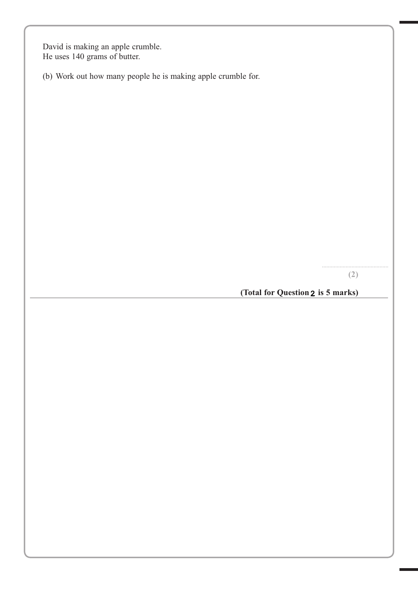David is making an apple crumble. He uses 140 grams of butter.

(b) Work out how many people he is making apple crumble for.

............................................. **(2)**

**(Total for Question 2 is 5 marks)**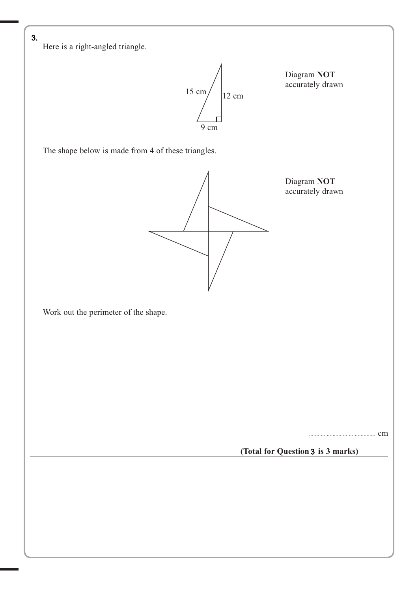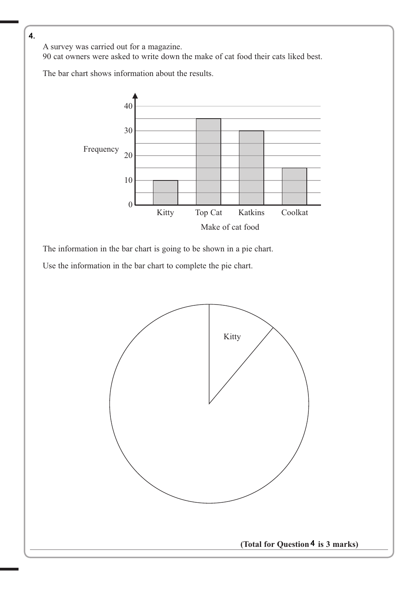**4** A survey was carried out for a magazine.

90 cat owners were asked to write down the make of cat food their cats liked best.

The bar chart shows information about the results.



The information in the bar chart is going to be shown in a pie chart.

Use the information in the bar chart to complete the pie chart.

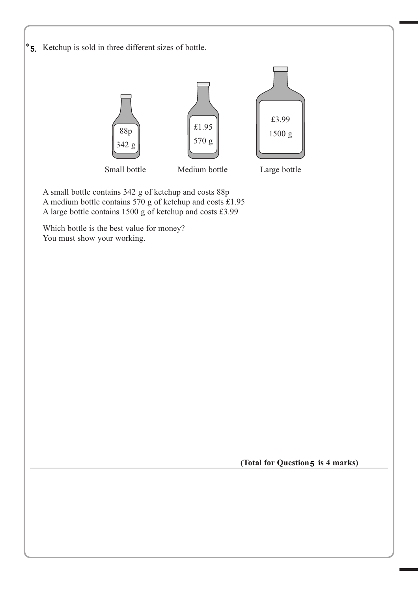

(Total for Question 5 is 4 marks)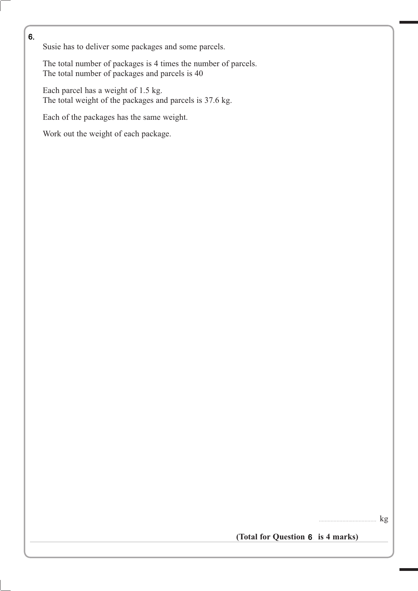Susie has to deliver some packages and some parcels.

 The total number of packages is 4 times the number of parcels. The total number of packages and parcels is 40

 Each parcel has a weight of 1.5 kg. The total weight of the packages and parcels is 37.6 kg.

Each of the packages has the same weight.

Work out the weight of each package.

 $kg$ 

(Total for Question 6. is 4 marks)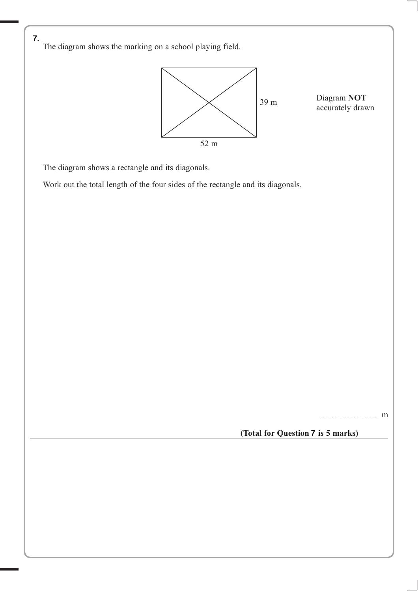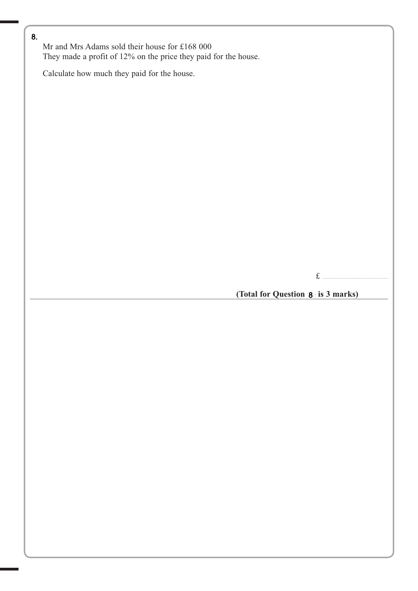**13** Mr and Mrs Adams sold their house for £168 000 They made a profit of 12% on the price they paid for the house.

Calculate how much they paid for the house.

£ .............................................

#### (Total for Question 8 is 3 marks)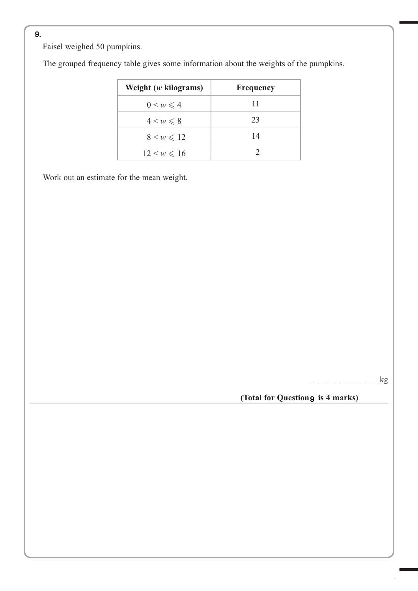**3** Faisel weighed 50 pumpkins.

The grouped frequency table gives some information about the weights of the pumpkins.

| Weight $(w \text{ kilograms})$ | <b>Frequency</b> |
|--------------------------------|------------------|
| $0 \leq w \leq 4$              | 11               |
| $4 \leq w \leq 8$              | 23               |
| $8 \leq w \leq 12$             | 14               |
| $12 \leq w \leq 16$            |                  |

Work out an estimate for the mean weight.

............................................. kg

 **(Total for Question 9 is 4 marks)**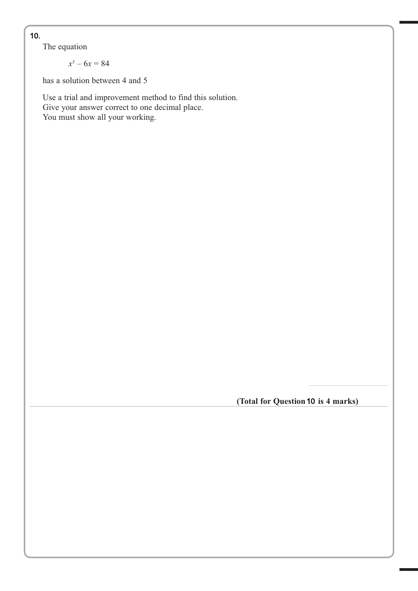**11** The equation

$$
x^3-6x=84
$$

has a solution between 4 and 5

 Use a trial and improvement method to find this solution. Give your answer correct to one decimal place. You must show all your working.

(Total for Question 10 is 4 marks)

…...................................................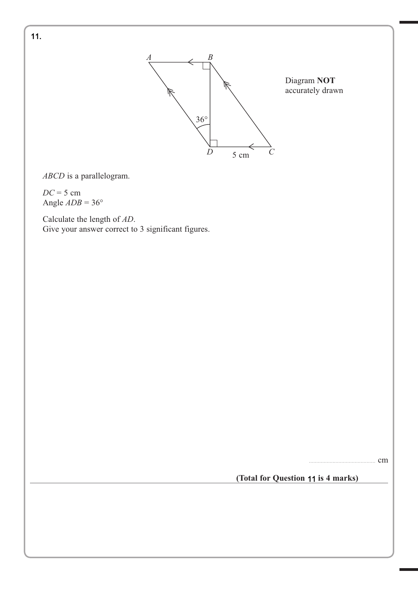

*ABCD* is a parallelogram.

*DC* = 5 cm Angle  $ADB = 36^\circ$ 

 Calculate the length of *AD*. Give your answer correct to 3 significant figures.

............................................. cm

**(Total for Question 14 is 4 marks)** 11

11.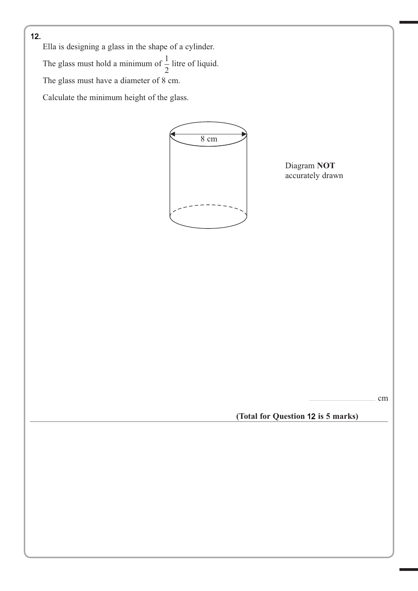

**12** Ella is designing a glass in the shape of a cylinder. The glass must hold a minimum of  $\frac{1}{2}$ 2 litre of liquid. The glass must have a diameter of 8 cm. Calculate the minimum height of the glass.



Diagram **NOT** accurately drawn

.cm

**(Total for Question 12 is 5 marks)** 12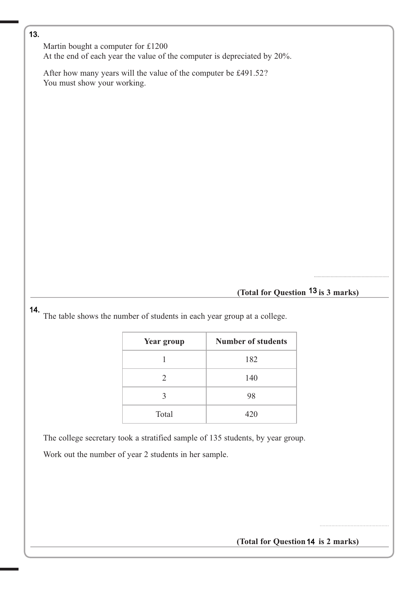**11** Martin bought a computer for £1200 At the end of each year the value of the computer is depreciated by 20%.

 After how many years will the value of the computer be £491.52? You must show your working.

#### (Total for Question <sup>13</sup> is 3 marks)

..........................................................

...............................................

14.

**12** The table shows the number of students in each year group at a college.

| <b>Year group</b>           | <b>Number of students</b> |
|-----------------------------|---------------------------|
|                             | 182                       |
| $\mathcal{D}_{\mathcal{L}}$ | 140                       |
| 3                           | 98                        |
| Total                       | 420                       |

The college secretary took a stratified sample of 135 students, by year group.

Work out the number of year 2 students in her sample.

**(Total for Question 12 is 2 marks)** 14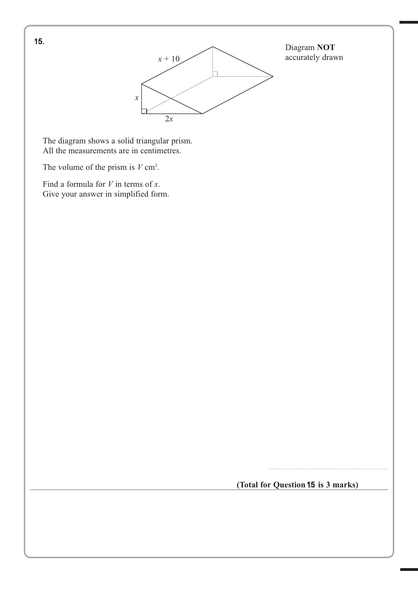

Diagram **NOT** accurately drawn

 The diagram shows a solid triangular prism. All the measurements are in centimetres.

The volume of the prism is  $V \text{ cm}^3$ .

 Find a formula for *V* in terms of *x*. Give your answer in simplified form.

(Total for Question 15 is 3 marks)

.................................................................................

**11** 15.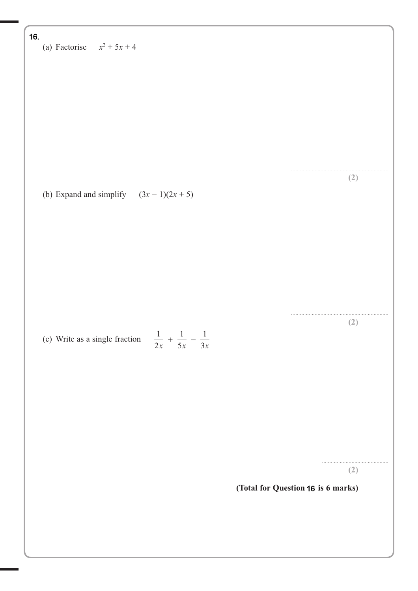# (a) Factorise  $x^2 + 5x + 4$ 16.

(b) Expand and simplify  $(3x-1)(2x+5)$ 

(c) Write as a single fraction  $\frac{1}{2}$ 2 1 5 1  $\frac{1}{x} + \frac{1}{5x} - \frac{1}{3x}$ 

> ............................................. **(2)**

..................................................................

..................................................................

**(2)**

**(2)**

(Total for Question 16 is 6 marks)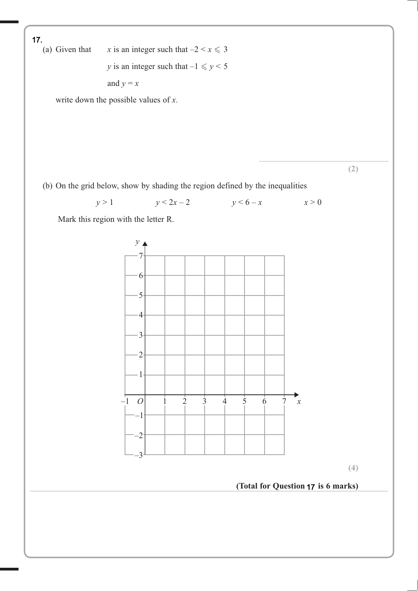(a) Given that *x* is an integer such that  $-2 < x \le 3$ *y* is an integer such that  $-1 \le y < 5$ and  $y = x$  write down the possible values of *x*. .................................................................................................... **(2)** (b) On the grid below, show by shading the region defined by the inequalities  $y > 1$   $y < 2x - 2$   $y < 6 - x$   $x > 0$  Mark this region with the letter R. **(4)** (Total for Question 17 is 6 marks)  $\begin{array}{ccccccccc}\n-1 & 0 & 1 & 2 & 3 & 4 & 5 & 6 & 7\n\end{array}$ 7 6 5 4 3 2 1 –1 –2 –3 *y* ⊿ *x* **17.** (a) Given that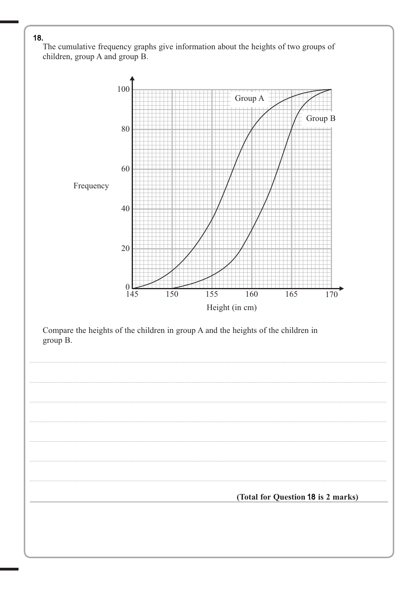The cumulative frequency graphs give information about the heights of two groups of children, group A and group B.

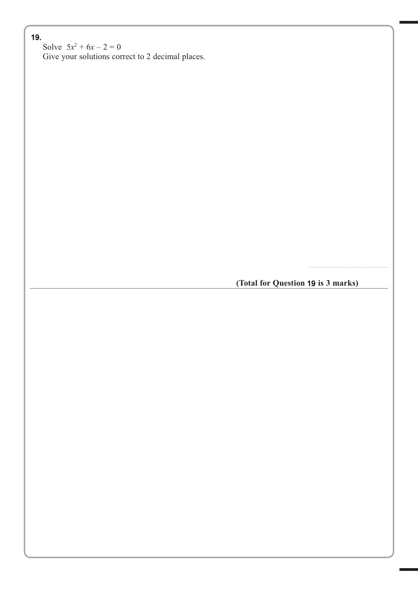**18** Solve  $5x^2 + 6x - 2 = 0$ 

Give your solutions correct to 2 decimal places.

**(Total for Question 18 is 3 marks)** 19

…...................................................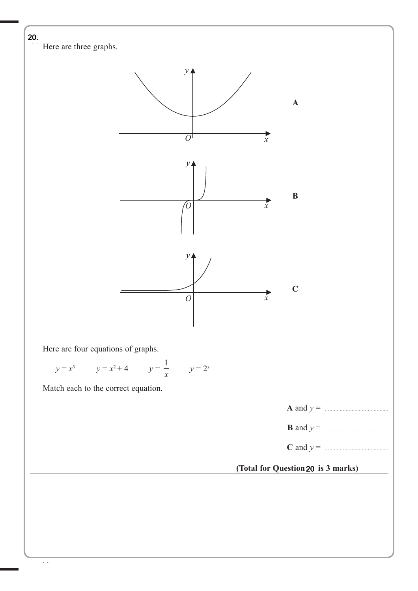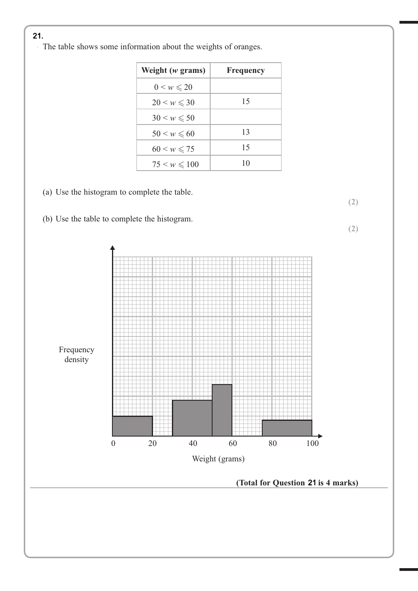**13** The table shows some information about the weights of oranges.

| Weight $(w$ grams)       | <b>Frequency</b> |
|--------------------------|------------------|
| $0 \leq w \leq 20$       |                  |
| $20 \leq w \leq 30$      | 15               |
| $30 \leq w \leqslant 50$ |                  |
| $50 \leq w \leqslant 60$ | 13               |
| $60 \leq w \leq 75$      | 15               |
| $75 \leq w \leq 100$     | 10               |

**(2)**

- (a) Use the histogram to complete the table.
- (b) Use the table to complete the histogram.

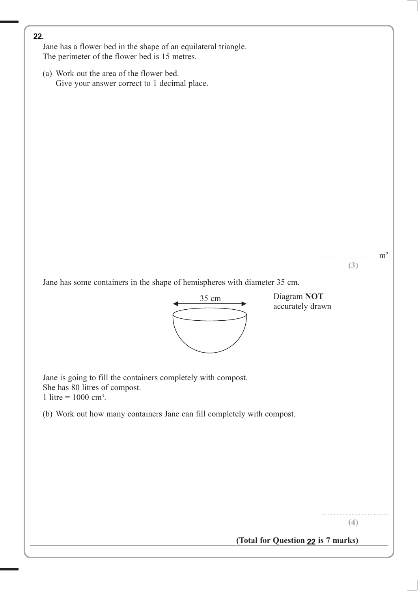Jane has a flower bed in the shape of an equilateral triangle. The perimeter of the flower bed is 15 metres.

(a) Work out the area of the flower bed. Give your answer correct to 1 decimal place.



Jane is going to fill the containers completely with compost. She has 80 litres of compost. 1 litre =  $1000 \text{ cm}^3$ .

(b) Work out how many containers Jane can fill completely with compost.

 

 $m<sup>2</sup>$ 

(Total for Question 22 is 7 marks)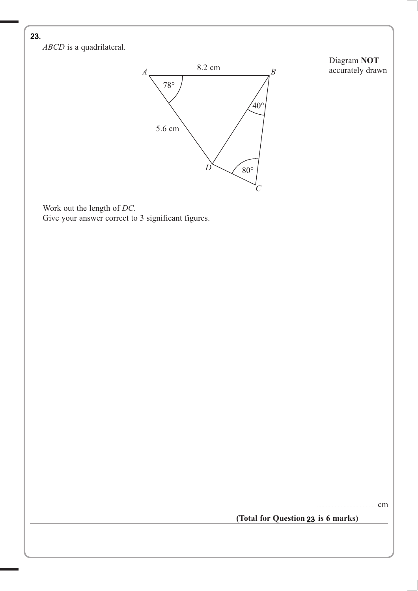

**18** *ABCD* is a quadrilateral.



Diagram **NOT** accurately drawn

 Work out the length of *DC*. Give your answer correct to 3 significant figures.

........................................ cm

(Total for Question 23 is 6 marks)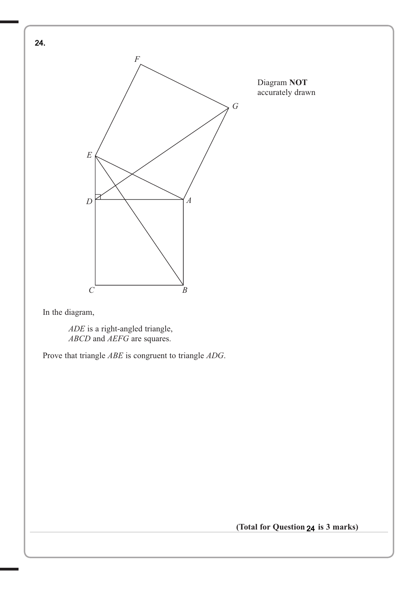

In the diagram,

 *ADE* is a right-angled triangle,  *ABCD* and *AEFG* are squares.

Prove that triangle *ABE* is congruent to triangle *ADG*.

**(Total for Question 22 is 3 marks)** 24